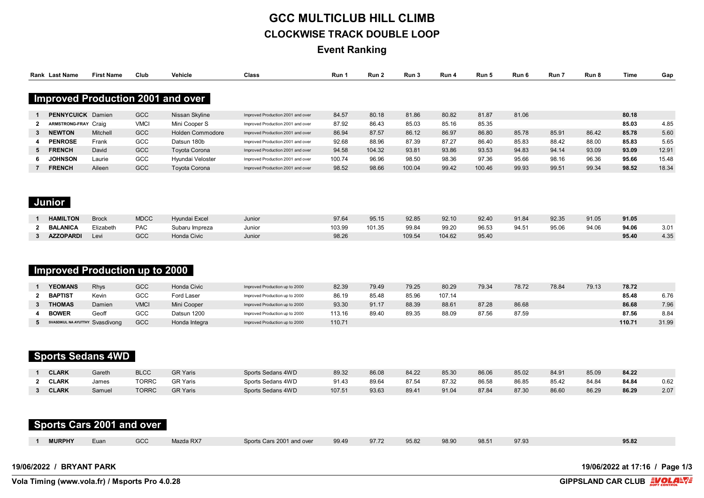# **GCC MULTICLUB HILL CLIMB CLOCKWISE TRACK DOUBLE LOOP**

**Event Ranking**

|                | Rank Last Name                                          | <b>First Name</b> | Club         | Vehicle                                  | Class                             | Run 1  | Run 2  | Run 3  | Run 4  | Run 5  | Run 6 | Run 7 | Run 8 | <b>Time</b>                    | Gap   |
|----------------|---------------------------------------------------------|-------------------|--------------|------------------------------------------|-----------------------------------|--------|--------|--------|--------|--------|-------|-------|-------|--------------------------------|-------|
|                |                                                         |                   |              | <b>Improved Production 2001 and over</b> |                                   |        |        |        |        |        |       |       |       |                                |       |
| -1             | <b>PENNYCUICK</b> Damien                                |                   | GCC          | Nissan Skyline                           | Improved Production 2001 and over | 84.57  | 80.18  | 81.86  | 80.82  | 81.87  | 81.06 |       |       | 80.18                          |       |
| $\mathbf{2}$   | ARMSTRONG-FRAY Craig                                    |                   | <b>VMCI</b>  | Mini Cooper S                            | Improved Production 2001 and over | 87.92  | 86.43  | 85.03  | 85.16  | 85.35  |       |       |       | 85.03                          | 4.85  |
| 3              | <b>NEWTON</b>                                           | Mitchell          | GCC          | <b>Holden Commodore</b>                  | Improved Production 2001 and over | 86.94  | 87.57  | 86.12  | 86.97  | 86.80  | 85.78 | 85.91 | 86.42 | 85.78                          | 5.60  |
| 4              | <b>PENROSE</b>                                          | Frank             | GCC          | Datsun 180b                              | Improved Production 2001 and over | 92.68  | 88.96  | 87.39  | 87.27  | 86.40  | 85.83 | 88.42 | 88.00 | 85.83                          | 5.65  |
| 5              | <b>FRENCH</b>                                           | David             | GCC          | Toyota Corona                            | Improved Production 2001 and over | 94.58  | 104.32 | 93.81  | 93.86  | 93.53  | 94.83 | 94.14 | 93.09 | 93.09                          | 12.91 |
| 6              | <b>JOHNSON</b>                                          | Laurie            | GCC          | Hyundai Veloster                         | Improved Production 2001 and over | 100.74 | 96.96  | 98.50  | 98.36  | 97.36  | 95.66 | 98.16 | 96.36 | 95.66                          | 15.48 |
| $\overline{7}$ | <b>FRENCH</b>                                           | Aileen            | GCC          | Toyota Corona                            | Improved Production 2001 and over | 98.52  | 98.66  | 100.04 | 99.42  | 100.46 | 99.93 | 99.51 | 99.34 | 98.52                          | 18.34 |
|                | Junior                                                  |                   |              |                                          |                                   |        |        |        |        |        |       |       |       |                                |       |
|                | <b>HAMILTON</b>                                         | <b>Brock</b>      | <b>MDCC</b>  | Hyundai Excel                            | Junior                            | 97.64  | 95.15  | 92.85  | 92.10  | 92.40  | 91.84 | 92.35 | 91.05 | 91.05                          |       |
| $\mathbf{2}$   | <b>BALANICA</b>                                         | Elizabeth         | PAC          | Subaru Impreza                           | Junior                            | 103.99 | 101.35 | 99.84  | 99.20  | 96.53  | 94.51 | 95.06 | 94.06 | 94.06                          | 3.01  |
| $3^{\circ}$    | <b>AZZOPARDI</b>                                        | Levi              | GCC          | Honda Civic                              | Junior                            | 98.26  |        | 109.54 | 104.62 | 95.40  |       |       |       | 95.40                          | 4.35  |
| $\mathbf{1}$   | <b>Improved Production up to 2000</b><br><b>YEOMANS</b> | Rhys              | GCC          | Honda Civic                              | Improved Production up to 2000    | 82.39  | 79.49  | 79.25  | 80.29  | 79.34  | 78.72 | 78.84 | 79.13 | 78.72                          |       |
| $\mathbf{2}$   | <b>BAPTIST</b>                                          | Kevin             | GCC          | Ford Laser                               | Improved Production up to 2000    | 86.19  | 85.48  | 85.96  | 107.14 |        |       |       |       | 85.48                          | 6.76  |
| $\mathbf{3}$   | <b>THOMAS</b>                                           | Damien            | <b>VMCI</b>  | Mini Cooper                              | Improved Production up to 2000    | 93.30  | 91.17  | 88.39  | 88.61  | 87.28  | 86.68 |       |       | 86.68                          | 7.96  |
| 4              | <b>BOWER</b>                                            | Geoff             | GCC          | Datsun 1200                              | Improved Production up to 2000    | 113.16 | 89.40  | 89.35  | 88.09  | 87.56  | 87.59 |       |       | 87.56                          | 8.84  |
| 5              | SVASDIKUL NA AYUTTHY. SVASdivong                        |                   | GCC          | Honda Integra                            | Improved Production up to 2000    | 110.71 |        |        |        |        |       |       |       | 110.71                         | 31.99 |
|                | <b>Sports Sedans 4WD</b>                                |                   |              |                                          |                                   |        |        |        |        |        |       |       |       |                                |       |
|                | <b>CLARK</b>                                            | Gareth            | <b>BLCC</b>  | <b>GR Yaris</b>                          | Sports Sedans 4WD                 | 89.32  | 86.08  | 84.22  | 85.30  | 86.06  | 85.02 | 84.91 | 85.09 | 84.22                          |       |
| $\mathbf{2}$   | <b>CLARK</b>                                            | James             | <b>TORRC</b> | <b>GR Yaris</b>                          | Sports Sedans 4WD                 | 91.43  | 89.64  | 87.54  | 87.32  | 86.58  | 86.85 | 85.42 | 84.84 | 84.84                          | 0.62  |
| $\mathbf{3}$   | <b>CLARK</b>                                            | Samuel            | <b>TORRC</b> | <b>GR Yaris</b>                          | Sports Sedans 4WD                 | 107.51 | 93.63  | 89.41  | 91.04  | 87.84  | 87.30 | 86.60 | 86.29 | 86.29                          | 2.07  |
|                | Sports Cars 2001 and over                               |                   |              |                                          |                                   |        |        |        |        |        |       |       |       |                                |       |
| -1             | <b>MURPHY</b>                                           | Euan              | GCC          | Mazda RX7                                | Sports Cars 2001 and over         | 99.49  | 97.72  | 95.82  | 98.90  | 98.51  | 97.93 |       |       | 95.82                          |       |
|                | 19/06/2022 / BRYANT PARK                                |                   |              |                                          |                                   |        |        |        |        |        |       |       |       | 19/06/2022 at 17:16 / Page 1/3 |       |

**Vola Timing (www.vola.fr) / Msports Pro 4.0.28** 

**GIPPSLAND CAR CLUB EVOLAL**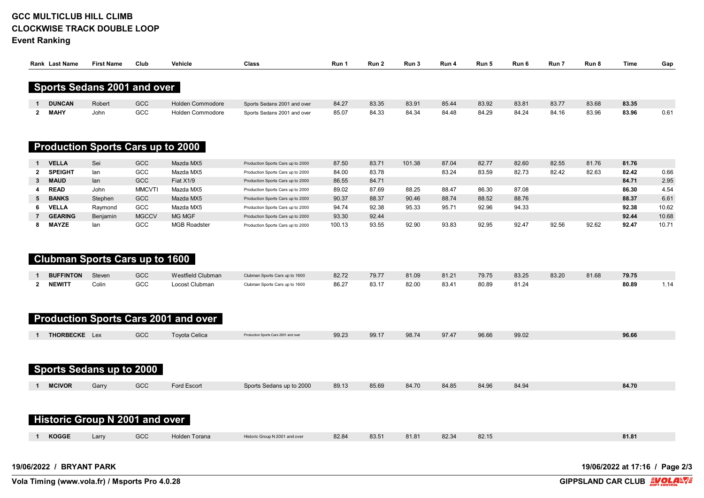# **GCC MULTICLUB HILL CLIMB CLOCKWISE TRACK DOUBLE LOOP**

**Event Ranking**

| <b>Rank Last Name</b>       | <b>First Name</b> | Club       | Vehicle                 | Class                       | Run 1 | Run 2 | Run 3 | Run 4 | Run 5 | Run 6 | Run 7 | Run 8 | Time  | Gap  |
|-----------------------------|-------------------|------------|-------------------------|-----------------------------|-------|-------|-------|-------|-------|-------|-------|-------|-------|------|
| Sports Sedans 2001 and over |                   |            |                         |                             |       |       |       |       |       |       |       |       |       |      |
| <b>DUNCAN</b>               | Robert            | <b>GCC</b> | <b>Holden Commodore</b> | Sports Sedans 2001 and over | 84.27 | 83.35 | 83.91 | 85.44 | 83.92 | 83.81 | 83.77 | 83.68 | 83.35 |      |
| <b>MAHY</b>                 | John              | GCC        | <b>Holden Commodore</b> | Sports Sedans 2001 and over | 85.07 | 84.33 | 84.34 | 84.48 | 84.29 | 84.24 | 84.16 | 83.96 | 83.96 | 0.61 |

#### **Production Sports Cars up to 2000**

| <b>VELLA</b>   | Sei      | GCC           | Mazda MX5           | Production Sports Cars up to 2000 | 87.50  | 83.7' | 101.38 | 87.04 | 82.77 | 82.60 | 82.55 | 81.76 | 81.76 |       |
|----------------|----------|---------------|---------------------|-----------------------------------|--------|-------|--------|-------|-------|-------|-------|-------|-------|-------|
| <b>SPEIGHT</b> | lan      | GCC           | Mazda MX5           | Production Sports Cars up to 2000 | 84.00  | 83.78 |        | 83.24 | 83.59 | 82.73 | 82.42 | 82.63 | 82.42 | 0.66  |
| 3 MAUD         | lan      | GCC           | Fiat X1/9           | Production Sports Cars up to 2000 | 86.55  | 84.71 |        |       |       |       |       |       | 84.71 | 2.95  |
| <b>READ</b>    | John     | <b>MMCVTI</b> | Mazda MX5           | Production Sports Cars up to 2000 | 89.02  | 87.69 | 88.25  | 88.47 | 86.30 | 87.08 |       |       | 86.30 | 4.54  |
| 5 BANKS        | Stephen  | GCC           | Mazda MX5           | Production Sports Cars up to 2000 | 90.37  | 88.37 | 90.46  | 88.74 | 88.52 | 88.76 |       |       | 88.37 | 6.61  |
| <b>VELLA</b>   | Raymond  | GCC           | Mazda MX5           | Production Sports Cars up to 2000 | 94.74  | 92.38 | 95.33  | 95.71 | 92.96 | 94.33 |       |       | 92.38 | 10.62 |
| <b>GEARING</b> | Beniamin | <b>MGCCV</b>  | <b>MG MGF</b>       | Production Sports Cars up to 2000 | 93.30  | 92.44 |        |       |       |       |       |       | 92.44 | 10.68 |
| <b>MAYZE</b>   | lan      | GCC           | <b>MGB Roadster</b> | Production Sports Cars up to 2000 | 100.13 | 93.55 | 92.90  | 93.83 | 92.95 | 92.47 | 92.56 | 92.62 | 92.47 | 10.71 |

## **Clubman Sports Cars up to 1600**

| <b>BUFFINTON</b> | Steven | GCC | Westfield Clubman | Clubman Sports Cars up to 1600 | 82.72 | 79.77 | 81.09 | 81.21 | 79.75 | 83.25 | 83.20 | 81.68 | 79.75 |  |
|------------------|--------|-----|-------------------|--------------------------------|-------|-------|-------|-------|-------|-------|-------|-------|-------|--|
| <b>NEWITT</b>    | Colin  | GCC | Locost Clubman    | Clubman Sports Cars up to 1600 | 86.27 | 83.17 | 82.00 | 83.41 | 80.89 | 81.24 |       |       | 80.89 |  |

## **Production Sports Cars 2001 and over**

| <b>THORBECKE</b> Lex | GCC | Toyota Celica | Production Sports Cars 2001 and over | 99.23 | 99.17 | 98.74 | 97.47 | 96.66 | 99.02 | 96.66 |
|----------------------|-----|---------------|--------------------------------------|-------|-------|-------|-------|-------|-------|-------|

### **Sports Sedans up to 2000**

| <b>MCIVOR</b><br>84.70<br>Ford Escort<br>85.69<br>84.70<br>Sports Sedans up to 2000<br>89.13<br>84.85<br>GCC<br>84.96<br>84.94<br>Garry |  |
|-----------------------------------------------------------------------------------------------------------------------------------------|--|
|-----------------------------------------------------------------------------------------------------------------------------------------|--|

#### **Historic Group N 2001 and over**

| KOGGE | Larry | GCC | <b>Holden Torana</b><br>. | o N 2001 and over<br>. | 82.84 | 83.51 | 34.04<br>01.01 | 82.34 | 82.15 | 81.81 |
|-------|-------|-----|---------------------------|------------------------|-------|-------|----------------|-------|-------|-------|

**19/06/2022 / BRYANT PARK 19/06/2022 at 17:16 / Page 2/3**

**Vola Timing (www.vola.fr) / Msports Pro 4.0.28** 

**GIPPSLAND CAR CLUB EVOLAL**